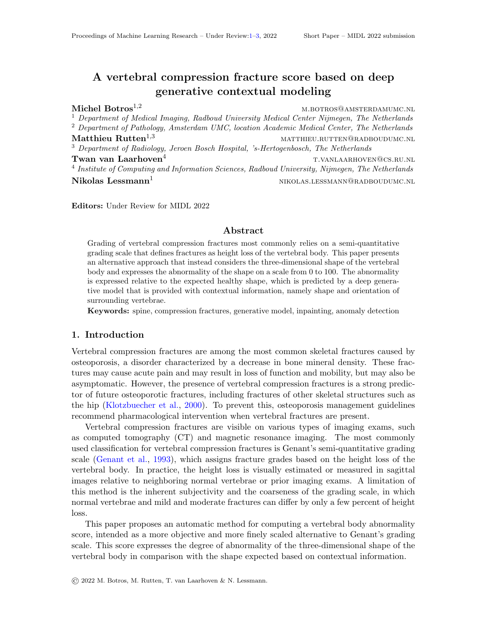# <span id="page-0-0"></span>A vertebral compression fracture score based on deep generative contextual modeling

Michel Botros<sup>1,2</sup> M.BOTROS@AMSTERDAMUMC.NL <sup>1</sup> Department of Medical Imaging, Radboud University Medical Center Nijmegen, The Netherlands  $2$  Department of Pathology, Amsterdam UMC, location Academic Medical Center, The Netherlands Matthieu  $\text{Rutten}^{1,3}$  matthieu.rutten@radboudumc.nl <sup>3</sup> Department of Radiology, Jeroen Bosch Hospital, 's-Hertogenbosch, The Netherlands **Twan van Laarhoven**<sup>4</sup> total terminal terminal terminal terminal terminal terminal terminal terminal terminal terminal terminal terminal terminal terminal terminal terminal terminal terminal terminal terminal terminal te <sup>4</sup> Institute of Computing and Information Sciences, Radboud University, Nijmegen, The Netherlands  $Nikolas Lessmann<sup>1</sup>$  nikolas.lessmann@radboudumc.nl

Editors: Under Review for MIDL 2022

#### Abstract

Grading of vertebral compression fractures most commonly relies on a semi-quantitative grading scale that defines fractures as height loss of the vertebral body. This paper presents an alternative approach that instead considers the three-dimensional shape of the vertebral body and expresses the abnormality of the shape on a scale from 0 to 100. The abnormality is expressed relative to the expected healthy shape, which is predicted by a deep generative model that is provided with contextual information, namely shape and orientation of surrounding vertebrae.

Keywords: spine, compression fractures, generative model, inpainting, anomaly detection

## 1. Introduction

Vertebral compression fractures are among the most common skeletal fractures caused by osteoporosis, a disorder characterized by a decrease in bone mineral density. These fractures may cause acute pain and may result in loss of function and mobility, but may also be asymptomatic. However, the presence of vertebral compression fractures is a strong predictor of future osteoporotic fractures, including fractures of other skeletal structures such as the hip [\(Klotzbuecher et al.,](#page-2-1) [2000\)](#page-2-1). To prevent this, osteoporosis management guidelines recommend pharmacological intervention when vertebral fractures are present.

Vertebral compression fractures are visible on various types of imaging exams, such as computed tomography (CT) and magnetic resonance imaging. The most commonly used classification for vertebral compression fractures is Genant's semi-quantitative grading scale [\(Genant et al.,](#page-2-2) [1993\)](#page-2-2), which assigns fracture grades based on the height loss of the vertebral body. In practice, the height loss is visually estimated or measured in sagittal images relative to neighboring normal vertebrae or prior imaging exams. A limitation of this method is the inherent subjectivity and the coarseness of the grading scale, in which normal vertebrae and mild and moderate fractures can differ by only a few percent of height loss.

This paper proposes an automatic method for computing a vertebral body abnormality score, intended as a more objective and more finely scaled alternative to Genant's grading scale. This score expresses the degree of abnormality of the three-dimensional shape of the vertebral body in comparison with the shape expected based on contextual information.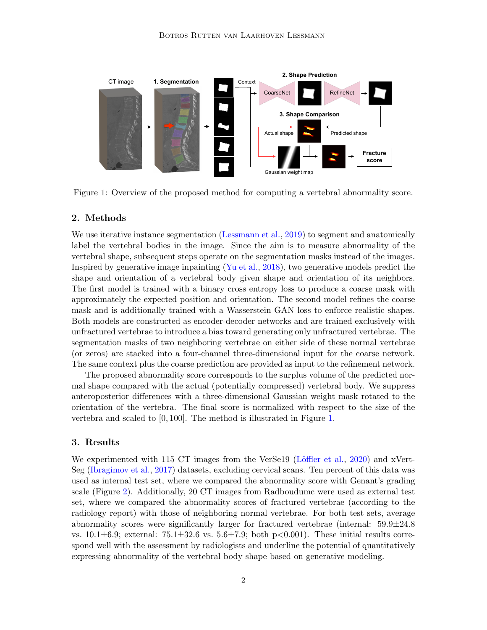

<span id="page-1-0"></span>Figure 1: Overview of the proposed method for computing a vertebral abnormality score.

### 2. Methods

We use iterative instance segmentation [\(Lessmann et al.,](#page-2-3) [2019\)](#page-2-3) to segment and anatomically label the vertebral bodies in the image. Since the aim is to measure abnormality of the vertebral shape, subsequent steps operate on the segmentation masks instead of the images. Inspired by generative image inpainting [\(Yu et al.,](#page-2-4) [2018\)](#page-2-4), two generative models predict the shape and orientation of a vertebral body given shape and orientation of its neighbors. The first model is trained with a binary cross entropy loss to produce a coarse mask with approximately the expected position and orientation. The second model refines the coarse mask and is additionally trained with a Wasserstein GAN loss to enforce realistic shapes. Both models are constructed as encoder-decoder networks and are trained exclusively with unfractured vertebrae to introduce a bias toward generating only unfractured vertebrae. The segmentation masks of two neighboring vertebrae on either side of these normal vertebrae (or zeros) are stacked into a four-channel three-dimensional input for the coarse network. The same context plus the coarse prediction are provided as input to the refinement network.

The proposed abnormality score corresponds to the surplus volume of the predicted normal shape compared with the actual (potentially compressed) vertebral body. We suppress anteroposterior differences with a three-dimensional Gaussian weight mask rotated to the orientation of the vertebra. The final score is normalized with respect to the size of the vertebra and scaled to [0, 100]. The method is illustrated in Figure [1.](#page-1-0)

## 3. Results

We experimented with 115 CT images from the VerSe19 (Löffler et al., [2020\)](#page-2-5) and xVert-Seg [\(Ibragimov et al.,](#page-2-6) [2017\)](#page-2-6) datasets, excluding cervical scans. Ten percent of this data was used as internal test set, where we compared the abnormality score with Genant's grading scale (Figure [2\)](#page-2-7). Additionally, 20 CT images from Radboudumc were used as external test set, where we compared the abnormality scores of fractured vertebrae (according to the radiology report) with those of neighboring normal vertebrae. For both test sets, average abnormality scores were significantly larger for fractured vertebrae (internal:  $59.9 \pm 24.8$ ) vs.  $10.1\pm6.9$ ; external:  $75.1\pm32.6$  vs.  $5.6\pm7.9$ ; both p $< 0.001$ ). These initial results correspond well with the assessment by radiologists and underline the potential of quantitatively expressing abnormality of the vertebral body shape based on generative modeling.